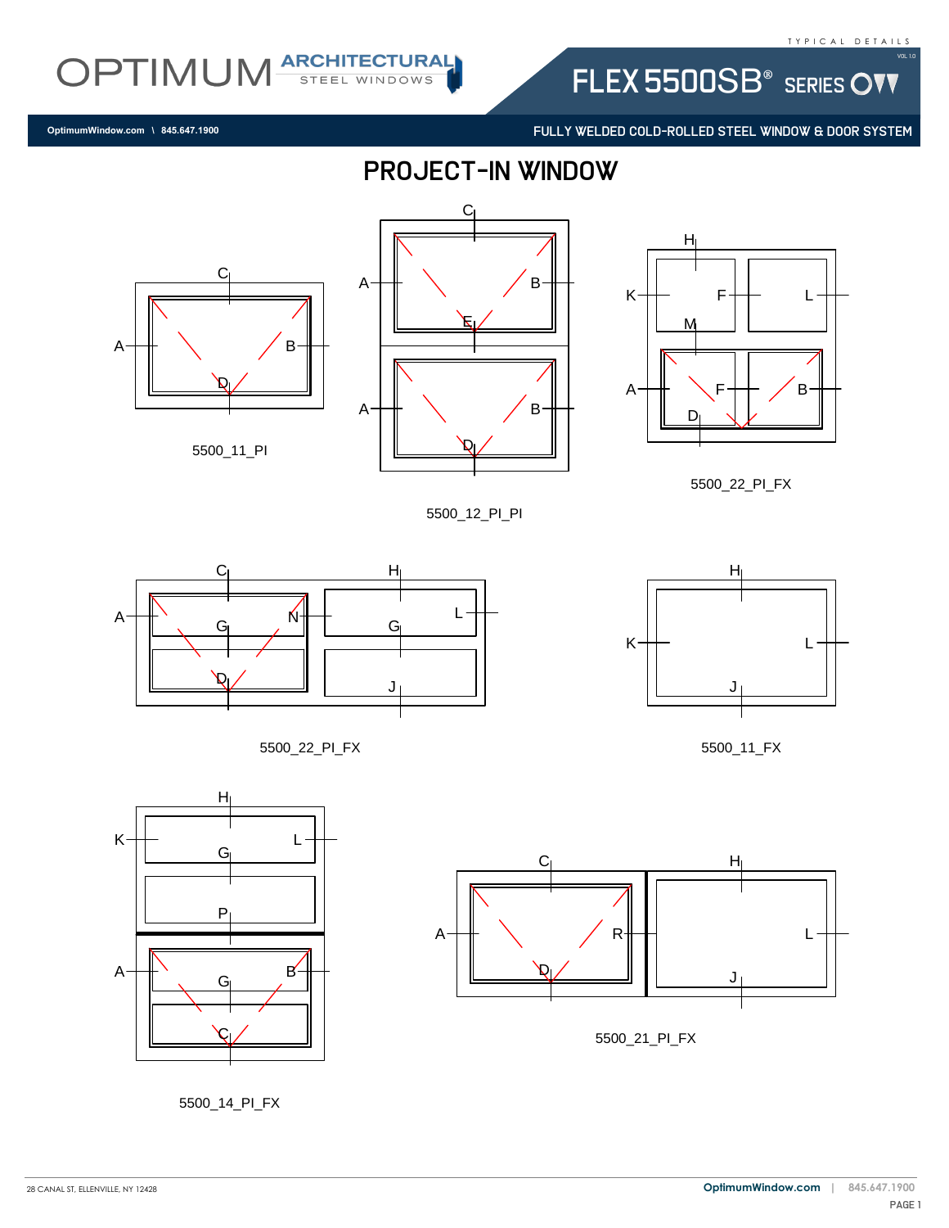FLEX 5500SB<sup>®</sup> SERIES OVV

FULLY WELDED COLD-ROLLED STEEL WINDOW & DOOR SYSTEM

**OptimumWindow.com \ 845.647.1900**



C

E

B

B



OPTIMUM ARCHITECTURAL

A  $\blacksquare$ 

A

5500\_12\_PI\_PI



5500\_22\_PI\_FX







5500\_14\_PI\_FX



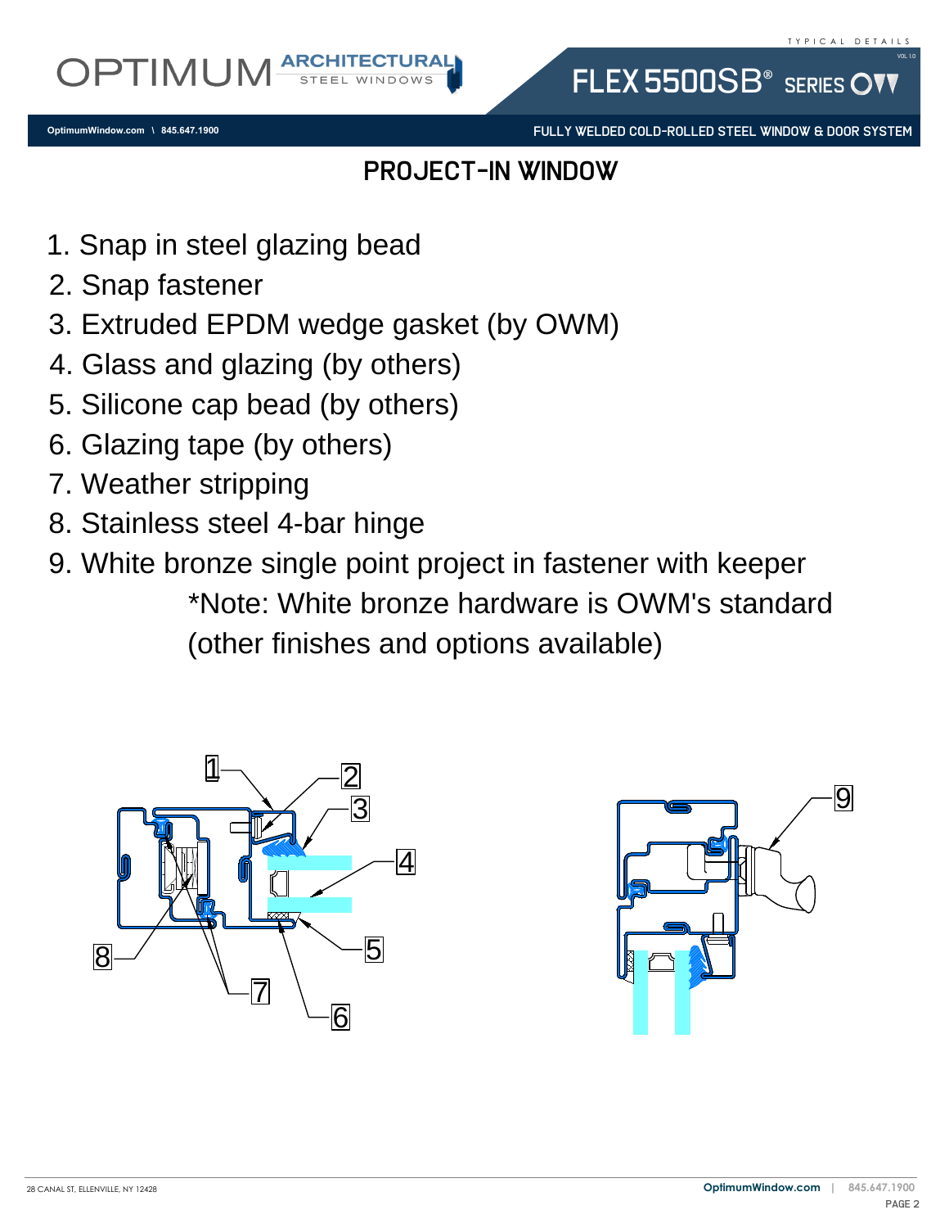FULLY WELDED COLD-ROLLED STEEL WINDOW & DOOR SYSTEM

FLEX 5500SB<sup>®</sup> SERIES

## PROJECT-IN WINDOW

- 
- 
- 2. Snap rastener<br>3. Extruded EPDM wedge gasket (by OWM)<br>4. Glass and glazing (by others)<br>5. Silicone cap bead (by others)<br>6. Glazing tape (by others)<br>7. Weather stripping<br>8. Stainless steel 4 ber binge
- 4. Glass and glazing (by others)
- 1. Snap in steel glazing bead<br>2. Snap fastener<br>3. Extruded EPDM wedge ga<br>4. Glass and glazing (by othe<br>5. Silicone cap bead (by othe 1. Snap in steel (<br>2. Snap fastener<br>3. Extruded EPD<br>4. Glass and gla:<br>5. Silicone cap b<br>6. Glazing tape ( 5. Silicone cap bead (by others)
- 
- 7. Weather stripping
- 8. Stainless steel 4-bar hinge
- 5. Silicone cap bead (by others)<br>6. Glazing tape (by others)<br>7. Weather stripping<br>8. Stainless steel 4-bar hin<br>9. White bronze single poir<br>\*Note: White bro 9. White bronze single point project in fastener with keeper<br>
\*Note: White bronze hardware is OWM's standa<br>
(other finishes and options available)<br>  $\Box$ \*Note: White bronze hardware is OWM's standard (other finishes and options available)



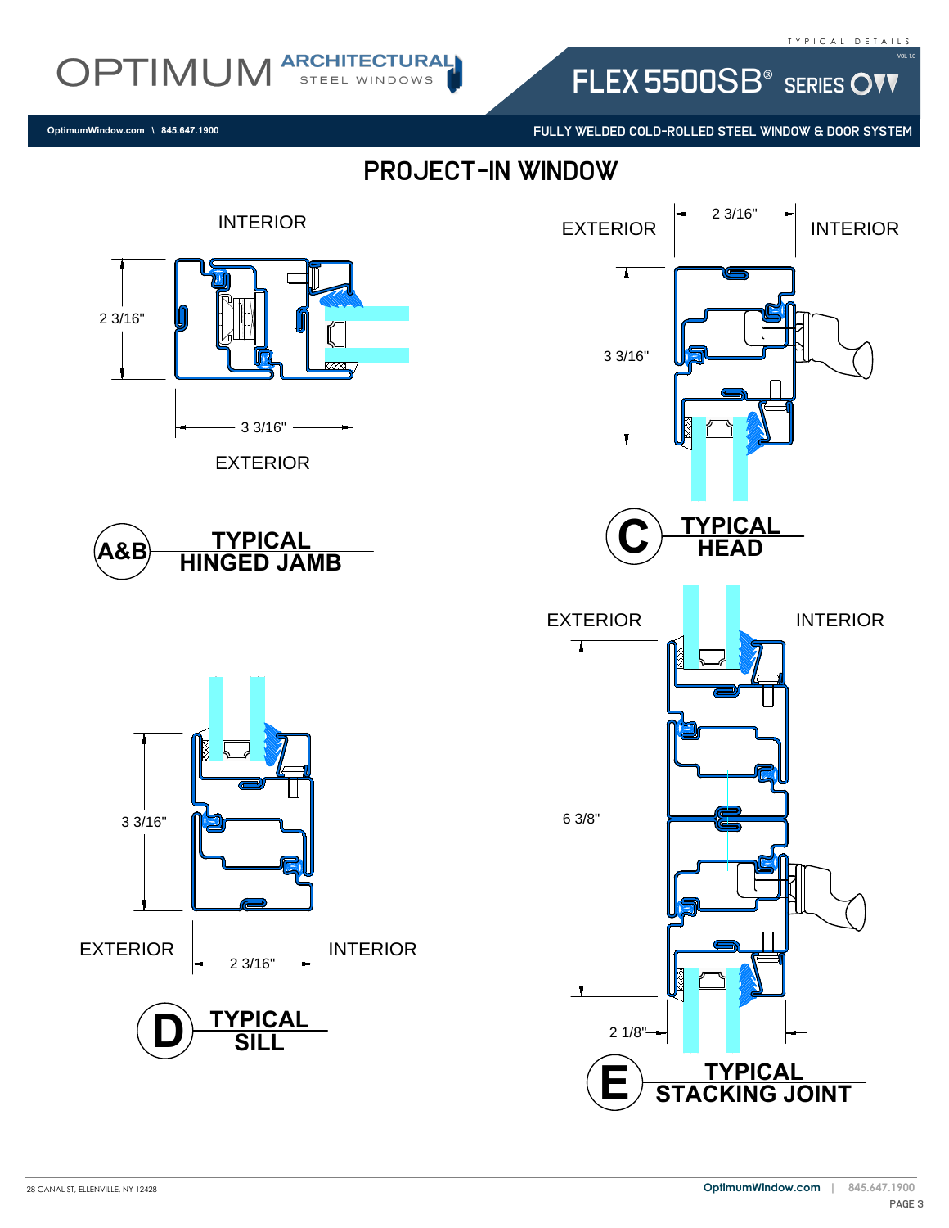FLEX 5500SB<sup>®</sup> SERIES OVV

FULLY WELDED COLD-ROLLED STEEL WINDOW & DOOR SYSTEM

PROJECT-IN WINDOW



**OptimumWindow.com \ 845.647.1900**

OPTIMUM ARCHITECTURAL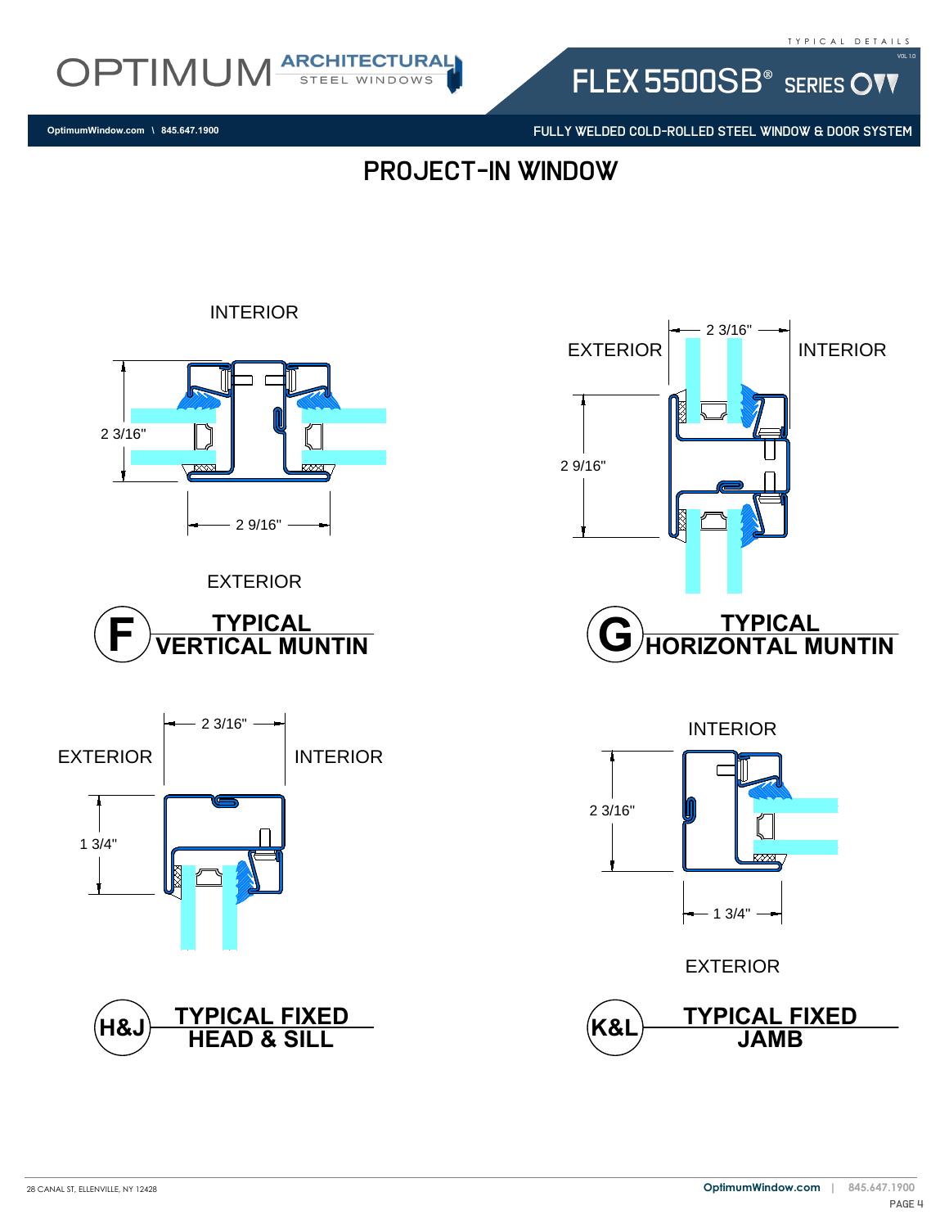

FLEX 5500SB<sup>®</sup> SERIES OVV

FULLY WELDED COLD-ROLLED STEEL WINDOW & DOOR SYSTEM

EXTERIOR **II** II INTERIOR

2 3/16"

PROJECT-IN WINDOW

2 9/16"

### **OptimumWindow.com \ 845.647.1900**



INTERIOR











EXTERIOR

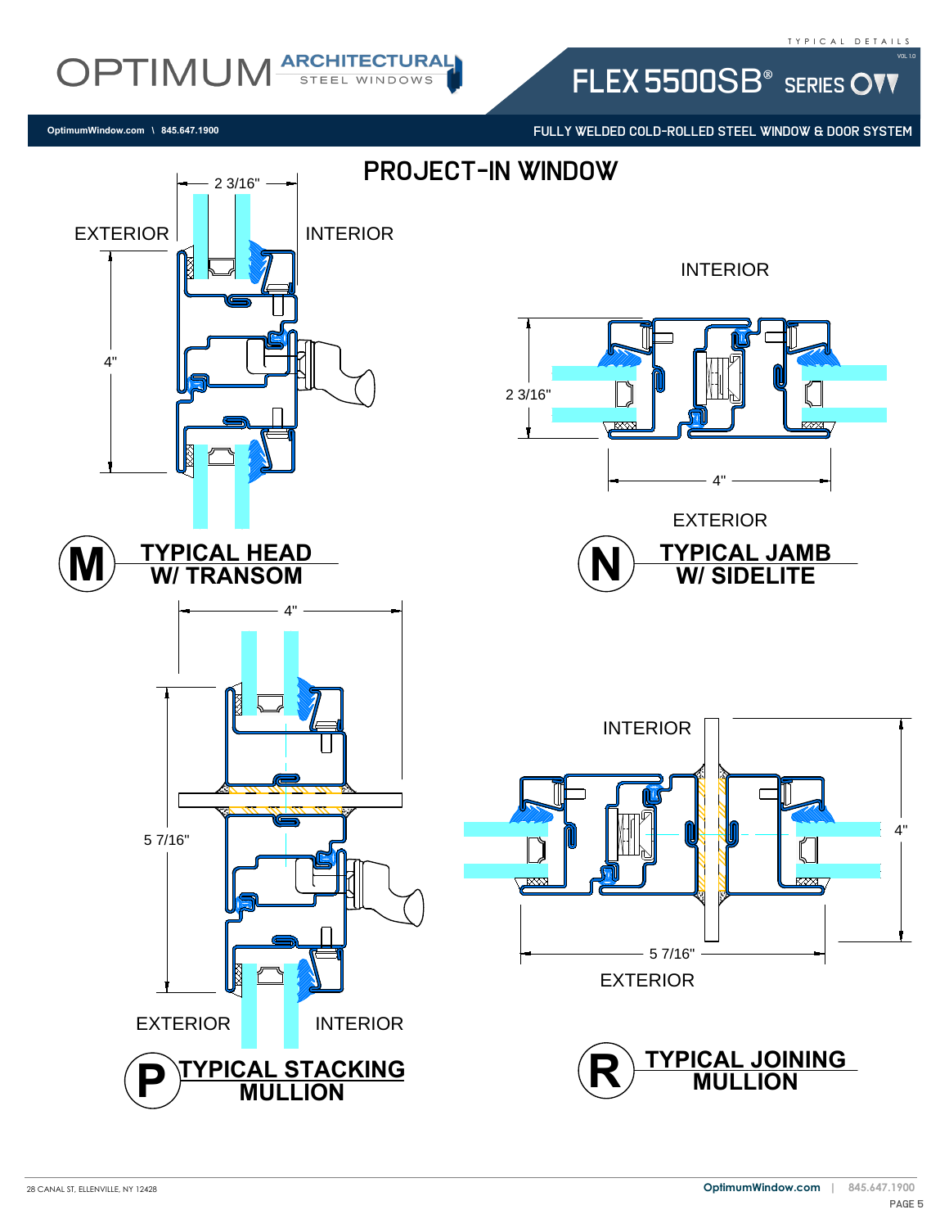#### T Y P I C A L D E T A I L S

Vol 1.0

# OPTIMUM ARCHITECTURAL

FLEX 5500SB<sup>®</sup> SERIES OVV

**OptimumWindow.com \ 845.647.1900**

FULLY WELDED COLD-ROLLED STEEL WINDOW & DOOR SYSTEM